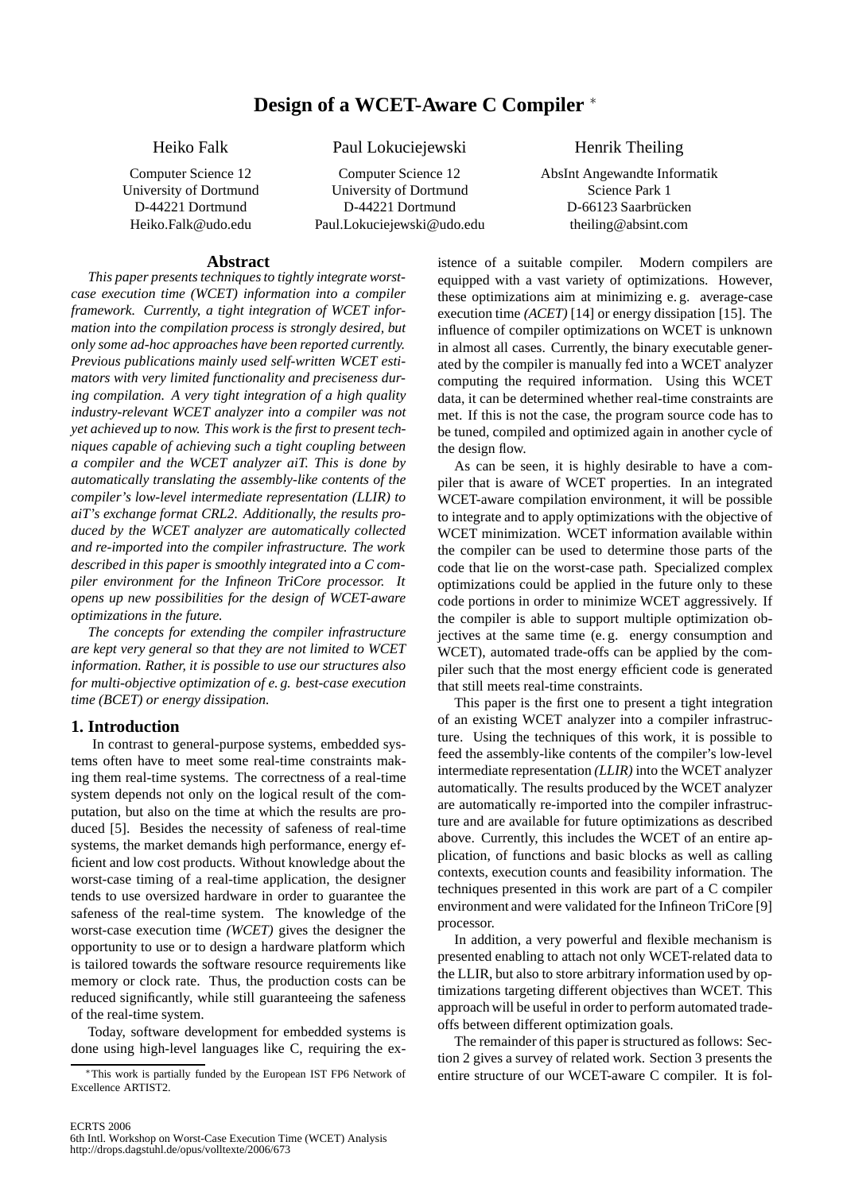# **Design of a WCET-Aware C Compiler** <sup>∗</sup>

Heiko Falk Paul Lokuciejewski Henrik Theiling

Computer Science 12 Computer Science 12 AbsInt Angewandte Informatik University of Dortmund University of Dortmund Science Park 1 D-44221 Dortmund D-44221 Dortmund D-66123 Saarbrücken Heiko.Falk@udo.edu Paul.Lokuciejewski@udo.edu theiling@absint.com

#### **Abstract**

*This paper presents techniques to tightly integrate worstcase execution time (WCET) information into a compiler framework. Currently, a tight integration of WCET information into the compilation process is strongly desired, but only some ad-hoc approaches have been reported currently. Previous publications mainly used self-written WCET estimators with very limited functionality and preciseness during compilation. A very tight integration of a high quality industry-relevant WCET analyzer into a compiler was not yet achieved up to now. This work is the first to present techniques capable of achieving such a tight coupling between a compiler and the WCET analyzer aiT. This is done by automatically translating the assembly-like contents of the compiler's low-level intermediate representation (LLIR) to aiT's exchange format CRL2. Additionally, the results produced by the WCET analyzer are automatically collected and re-imported into the compiler infrastructure. The work described in this paper is smoothly integrated into a C compiler environment for the Infineon TriCore processor. It opens up new possibilities for the design of WCET-aware optimizations in the future.*

*The concepts for extending the compiler infrastructure are kept very general so that they are not limited to WCET information. Rather, it is possible to use our structures also for multi-objective optimization of e. g. best-case execution time (BCET) or energy dissipation.*

#### **1. Introduction**

In contrast to general-purpose systems, embedded systems often have to meet some real-time constraints making them real-time systems. The correctness of a real-time system depends not only on the logical result of the computation, but also on the time at which the results are produced [5]. Besides the necessity of safeness of real-time systems, the market demands high performance, energy efficient and low cost products. Without knowledge about the worst-case timing of a real-time application, the designer tends to use oversized hardware in order to guarantee the safeness of the real-time system. The knowledge of the worst-case execution time *(WCET)* gives the designer the opportunity to use or to design a hardware platform which is tailored towards the software resource requirements like memory or clock rate. Thus, the production costs can be reduced significantly, while still guaranteeing the safeness of the real-time system.

Today, software development for embedded systems is done using high-level languages like C, requiring the existence of a suitable compiler. Modern compilers are equipped with a vast variety of optimizations. However, these optimizations aim at minimizing e. g. average-case execution time *(ACET)* [14] or energy dissipation [15]. The influence of compiler optimizations on WCET is unknown in almost all cases. Currently, the binary executable generated by the compiler is manually fed into a WCET analyzer computing the required information. Using this WCET data, it can be determined whether real-time constraints are met. If this is not the case, the program source code has to be tuned, compiled and optimized again in another cycle of the design flow.

As can be seen, it is highly desirable to have a compiler that is aware of WCET properties. In an integrated WCET-aware compilation environment, it will be possible to integrate and to apply optimizations with the objective of WCET minimization. WCET information available within the compiler can be used to determine those parts of the code that lie on the worst-case path. Specialized complex optimizations could be applied in the future only to these code portions in order to minimize WCET aggressively. If the compiler is able to support multiple optimization objectives at the same time (e. g. energy consumption and WCET), automated trade-offs can be applied by the compiler such that the most energy efficient code is generated that still meets real-time constraints.

This paper is the first one to present a tight integration of an existing WCET analyzer into a compiler infrastructure. Using the techniques of this work, it is possible to feed the assembly-like contents of the compiler's low-level intermediate representation *(LLIR)* into the WCET analyzer automatically. The results produced by the WCET analyzer are automatically re-imported into the compiler infrastructure and are available for future optimizations as described above. Currently, this includes the WCET of an entire application, of functions and basic blocks as well as calling contexts, execution counts and feasibility information. The techniques presented in this work are part of a C compiler environment and were validated for the Infineon TriCore [9] processor.

In addition, a very powerful and flexible mechanism is presented enabling to attach not only WCET-related data to the LLIR, but also to store arbitrary information used by optimizations targeting different objectives than WCET. This approach will be useful in order to perform automated tradeoffs between different optimization goals.

The remainder of this paper is structured as follows: Section 2 gives a survey of related work. Section 3 presents the entire structure of our WCET-aware C compiler. It is fol-

<sup>∗</sup>This work is partially funded by the European IST FP6 Network of Excellence ARTIST2.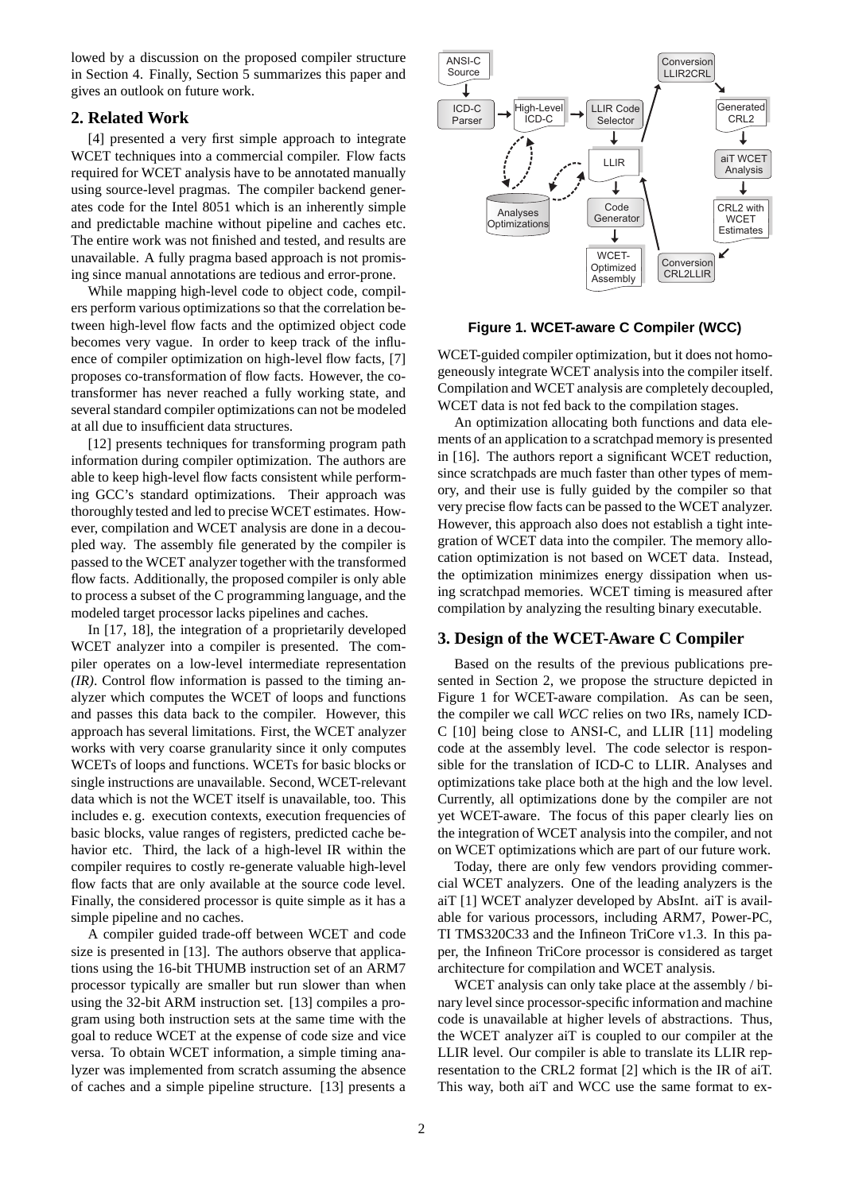lowed by a discussion on the proposed compiler structure in Section 4. Finally, Section 5 summarizes this paper and gives an outlook on future work.

# **2. Related Work**

[4] presented a very first simple approach to integrate WCET techniques into a commercial compiler. Flow facts required for WCET analysis have to be annotated manually using source-level pragmas. The compiler backend generates code for the Intel 8051 which is an inherently simple and predictable machine without pipeline and caches etc. The entire work was not finished and tested, and results are unavailable. A fully pragma based approach is not promising since manual annotations are tedious and error-prone.

While mapping high-level code to object code, compilers perform various optimizations so that the correlation between high-level flow facts and the optimized object code becomes very vague. In order to keep track of the influence of compiler optimization on high-level flow facts, [7] proposes co-transformation of flow facts. However, the cotransformer has never reached a fully working state, and several standard compiler optimizations can not be modeled at all due to insufficient data structures.

[12] presents techniques for transforming program path information during compiler optimization. The authors are able to keep high-level flow facts consistent while performing GCC's standard optimizations. Their approach was thoroughly tested and led to precise WCET estimates. However, compilation and WCET analysis are done in a decoupled way. The assembly file generated by the compiler is passed to the WCET analyzer together with the transformed flow facts. Additionally, the proposed compiler is only able to process a subset of the C programming language, and the modeled target processor lacks pipelines and caches.

In [17, 18], the integration of a proprietarily developed WCET analyzer into a compiler is presented. The compiler operates on a low-level intermediate representation *(IR)*. Control flow information is passed to the timing analyzer which computes the WCET of loops and functions and passes this data back to the compiler. However, this approach has several limitations. First, the WCET analyzer works with very coarse granularity since it only computes WCETs of loops and functions. WCETs for basic blocks or single instructions are unavailable. Second, WCET-relevant data which is not the WCET itself is unavailable, too. This includes e. g. execution contexts, execution frequencies of basic blocks, value ranges of registers, predicted cache behavior etc. Third, the lack of a high-level IR within the compiler requires to costly re-generate valuable high-level flow facts that are only available at the source code level. Finally, the considered processor is quite simple as it has a simple pipeline and no caches.

A compiler guided trade-off between WCET and code size is presented in [13]. The authors observe that applications using the 16-bit THUMB instruction set of an ARM7 processor typically are smaller but run slower than when using the 32-bit ARM instruction set. [13] compiles a program using both instruction sets at the same time with the goal to reduce WCET at the expense of code size and vice versa. To obtain WCET information, a simple timing analyzer was implemented from scratch assuming the absence of caches and a simple pipeline structure. [13] presents a



### **Figure 1. WCET-aware C Compiler (WCC)**

WCET-guided compiler optimization, but it does not homogeneously integrate WCET analysis into the compiler itself. Compilation and WCET analysis are completely decoupled, WCET data is not fed back to the compilation stages.

An optimization allocating both functions and data elements of an application to a scratchpad memory is presented in [16]. The authors report a significant WCET reduction, since scratchpads are much faster than other types of memory, and their use is fully guided by the compiler so that very precise flow facts can be passed to the WCET analyzer. However, this approach also does not establish a tight integration of WCET data into the compiler. The memory allocation optimization is not based on WCET data. Instead, the optimization minimizes energy dissipation when using scratchpad memories. WCET timing is measured after compilation by analyzing the resulting binary executable.

#### **3. Design of the WCET-Aware C Compiler**

Based on the results of the previous publications presented in Section 2, we propose the structure depicted in Figure 1 for WCET-aware compilation. As can be seen, the compiler we call *WCC* relies on two IRs, namely ICD-C [10] being close to ANSI-C, and LLIR [11] modeling code at the assembly level. The code selector is responsible for the translation of ICD-C to LLIR. Analyses and optimizations take place both at the high and the low level. Currently, all optimizations done by the compiler are not yet WCET-aware. The focus of this paper clearly lies on the integration of WCET analysis into the compiler, and not on WCET optimizations which are part of our future work.

Today, there are only few vendors providing commercial WCET analyzers. One of the leading analyzers is the aiT [1] WCET analyzer developed by AbsInt. aiT is available for various processors, including ARM7, Power-PC, TI TMS320C33 and the Infineon TriCore v1.3. In this paper, the Infineon TriCore processor is considered as target architecture for compilation and WCET analysis.

WCET analysis can only take place at the assembly / binary level since processor-specific information and machine code is unavailable at higher levels of abstractions. Thus, the WCET analyzer aiT is coupled to our compiler at the LLIR level. Our compiler is able to translate its LLIR representation to the CRL2 format [2] which is the IR of aiT. This way, both aiT and WCC use the same format to ex-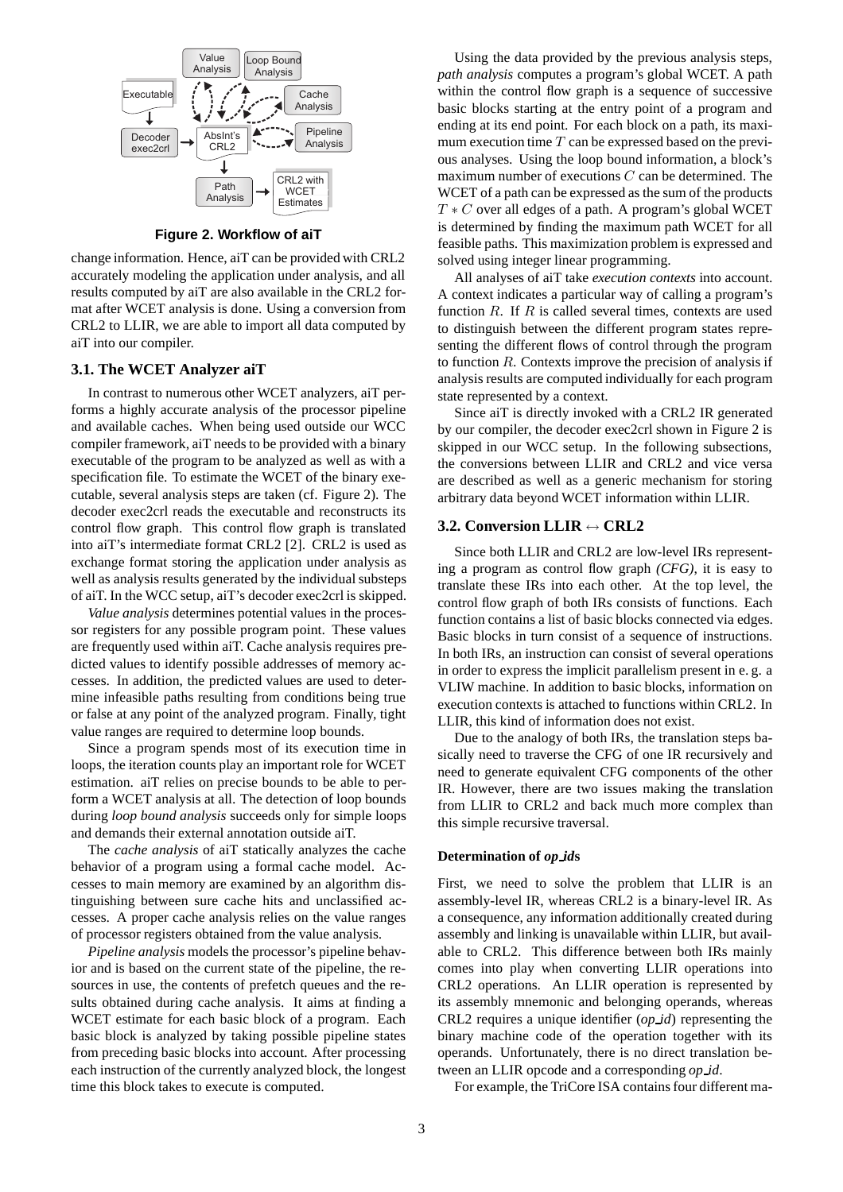

**Figure 2. Workflow of aiT**

change information. Hence, aiT can be provided with CRL2 accurately modeling the application under analysis, and all results computed by aiT are also available in the CRL2 format after WCET analysis is done. Using a conversion from CRL2 to LLIR, we are able to import all data computed by aiT into our compiler.

### **3.1. The WCET Analyzer aiT**

In contrast to numerous other WCET analyzers, aiT performs a highly accurate analysis of the processor pipeline and available caches. When being used outside our WCC compiler framework, aiT needs to be provided with a binary executable of the program to be analyzed as well as with a specification file. To estimate the WCET of the binary executable, several analysis steps are taken (cf. Figure 2). The decoder exec2crl reads the executable and reconstructs its control flow graph. This control flow graph is translated into aiT's intermediate format CRL2 [2]. CRL2 is used as exchange format storing the application under analysis as well as analysis results generated by the individual substeps of aiT. In the WCC setup, aiT's decoder exec2crl is skipped.

*Value analysis* determines potential values in the processor registers for any possible program point. These values are frequently used within aiT. Cache analysis requires predicted values to identify possible addresses of memory accesses. In addition, the predicted values are used to determine infeasible paths resulting from conditions being true or false at any point of the analyzed program. Finally, tight value ranges are required to determine loop bounds.

Since a program spends most of its execution time in loops, the iteration counts play an important role for WCET estimation. aiT relies on precise bounds to be able to perform a WCET analysis at all. The detection of loop bounds during *loop bound analysis* succeeds only for simple loops and demands their external annotation outside aiT.

The *cache analysis* of aiT statically analyzes the cache behavior of a program using a formal cache model. Accesses to main memory are examined by an algorithm distinguishing between sure cache hits and unclassified accesses. A proper cache analysis relies on the value ranges of processor registers obtained from the value analysis.

*Pipeline analysis* models the processor's pipeline behavior and is based on the current state of the pipeline, the resources in use, the contents of prefetch queues and the results obtained during cache analysis. It aims at finding a WCET estimate for each basic block of a program. Each basic block is analyzed by taking possible pipeline states from preceding basic blocks into account. After processing each instruction of the currently analyzed block, the longest time this block takes to execute is computed.

Using the data provided by the previous analysis steps, *path analysis* computes a program's global WCET. A path within the control flow graph is a sequence of successive basic blocks starting at the entry point of a program and ending at its end point. For each block on a path, its maximum execution time  $T$  can be expressed based on the previous analyses. Using the loop bound information, a block's maximum number of executions  $C$  can be determined. The WCET of a path can be expressed as the sum of the products  $T * C$  over all edges of a path. A program's global WCET is determined by finding the maximum path WCET for all feasible paths. This maximization problem is expressed and solved using integer linear programming.

All analyses of aiT take *execution contexts* into account. A context indicates a particular way of calling a program's function  $R$ . If  $R$  is called several times, contexts are used to distinguish between the different program states representing the different flows of control through the program to function  $R$ . Contexts improve the precision of analysis if analysis results are computed individually for each program state represented by a context.

Since aiT is directly invoked with a CRL2 IR generated by our compiler, the decoder exec2crl shown in Figure 2 is skipped in our WCC setup. In the following subsections, the conversions between LLIR and CRL2 and vice versa are described as well as a generic mechanism for storing arbitrary data beyond WCET information within LLIR.

#### **3.2. Conversion LLIR** ↔ **CRL2**

Since both LLIR and CRL2 are low-level IRs representing a program as control flow graph *(CFG)*, it is easy to translate these IRs into each other. At the top level, the control flow graph of both IRs consists of functions. Each function contains a list of basic blocks connected via edges. Basic blocks in turn consist of a sequence of instructions. In both IRs, an instruction can consist of several operations in order to express the implicit parallelism present in e. g. a VLIW machine. In addition to basic blocks, information on execution contexts is attached to functions within CRL2. In LLIR, this kind of information does not exist.

Due to the analogy of both IRs, the translation steps basically need to traverse the CFG of one IR recursively and need to generate equivalent CFG components of the other IR. However, there are two issues making the translation from LLIR to CRL2 and back much more complex than this simple recursive traversal.

#### **Determination of** *op id***s**

First, we need to solve the problem that LLIR is an assembly-level IR, whereas CRL2 is a binary-level IR. As a consequence, any information additionally created during assembly and linking is unavailable within LLIR, but available to CRL2. This difference between both IRs mainly comes into play when converting LLIR operations into CRL2 operations. An LLIR operation is represented by its assembly mnemonic and belonging operands, whereas CRL2 requires a unique identifier (*op id*) representing the binary machine code of the operation together with its operands. Unfortunately, there is no direct translation between an LLIR opcode and a corresponding *op id*.

For example, the TriCore ISA contains four different ma-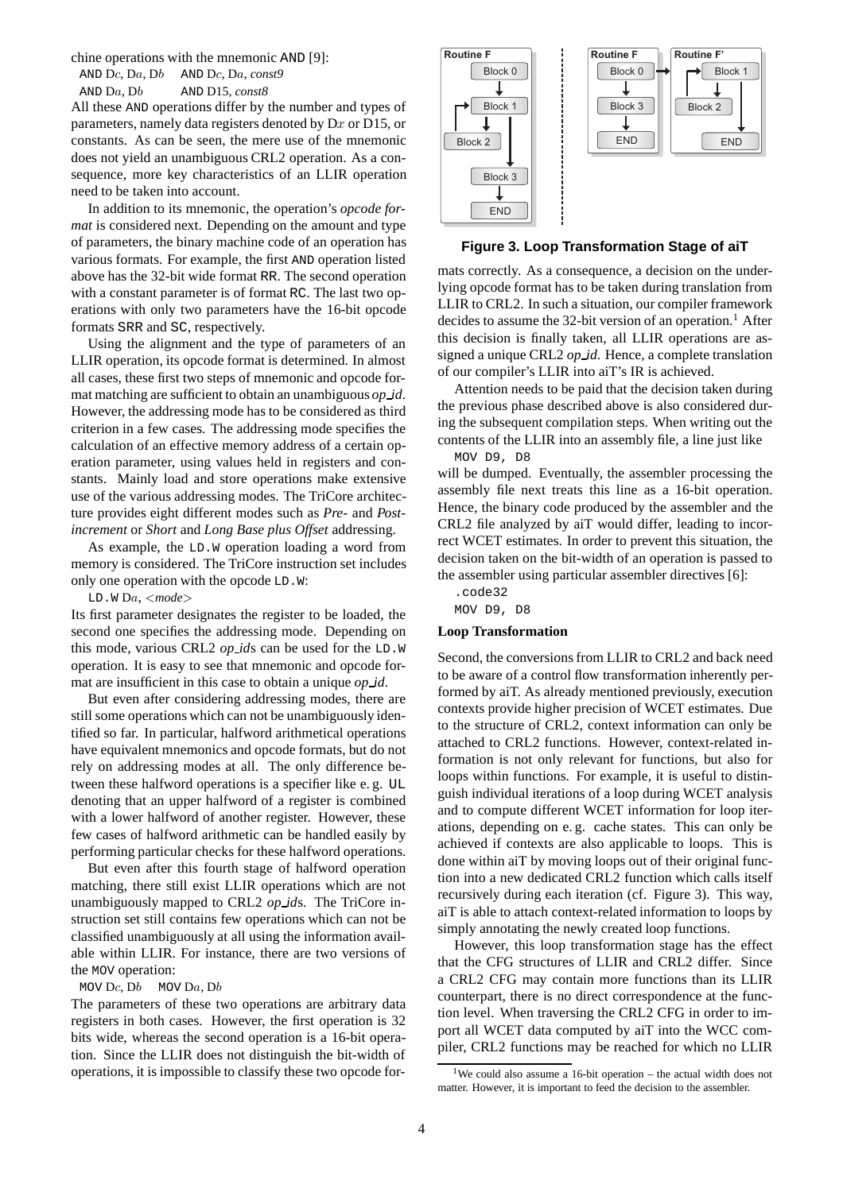chine operations with the mnemonic AND [9]:

AND Dc, Da, Db AND Dc, Da, *const9*

AND Da, Db AND D15, *const8*

All these AND operations differ by the number and types of parameters, namely data registers denoted by Dx or D15, or constants. As can be seen, the mere use of the mnemonic does not yield an unambiguous CRL2 operation. As a consequence, more key characteristics of an LLIR operation need to be taken into account.

In addition to its mnemonic, the operation's *opcode format* is considered next. Depending on the amount and type of parameters, the binary machine code of an operation has various formats. For example, the first AND operation listed above has the 32-bit wide format RR. The second operation with a constant parameter is of format RC. The last two operations with only two parameters have the 16-bit opcode formats SRR and SC, respectively.

Using the alignment and the type of parameters of an LLIR operation, its opcode format is determined. In almost all cases, these first two steps of mnemonic and opcode format matching are sufficient to obtain an unambiguous *op id*. However, the addressing mode has to be considered as third criterion in a few cases. The addressing mode specifies the calculation of an effective memory address of a certain operation parameter, using values held in registers and constants. Mainly load and store operations make extensive use of the various addressing modes. The TriCore architecture provides eight different modes such as *Pre-* and *Postincrement* or *Short* and *Long Base plus Offset* addressing.

As example, the LD.W operation loading a word from memory is considered. The TriCore instruction set includes only one operation with the opcode LD.W:

LD.W Da, <*mode*>

Its first parameter designates the register to be loaded, the second one specifies the addressing mode. Depending on this mode, various CRL2 *op id*s can be used for the LD.W operation. It is easy to see that mnemonic and opcode format are insufficient in this case to obtain a unique *op id*.

But even after considering addressing modes, there are still some operations which can not be unambiguously identified so far. In particular, halfword arithmetical operations have equivalent mnemonics and opcode formats, but do not rely on addressing modes at all. The only difference between these halfword operations is a specifier like e. g. UL denoting that an upper halfword of a register is combined with a lower halfword of another register. However, these few cases of halfword arithmetic can be handled easily by performing particular checks for these halfword operations.

But even after this fourth stage of halfword operation matching, there still exist LLIR operations which are not unambiguously mapped to CRL2 *op id*s. The TriCore instruction set still contains few operations which can not be classified unambiguously at all using the information available within LLIR. For instance, there are two versions of the MOV operation:

MOV Dc, Db MOV Da, Db

The parameters of these two operations are arbitrary data registers in both cases. However, the first operation is 32 bits wide, whereas the second operation is a 16-bit operation. Since the LLIR does not distinguish the bit-width of operations, it is impossible to classify these two opcode for-



**Figure 3. Loop Transformation Stage of aiT**

mats correctly. As a consequence, a decision on the underlying opcode format has to be taken during translation from LLIR to CRL2. In such a situation, our compiler framework decides to assume the 32-bit version of an operation.<sup>1</sup> After this decision is finally taken, all LLIR operations are assigned a unique CRL2 *op id*. Hence, a complete translation of our compiler's LLIR into aiT's IR is achieved.

Attention needs to be paid that the decision taken during the previous phase described above is also considered during the subsequent compilation steps. When writing out the contents of the LLIR into an assembly file, a line just like MOV D9, D8

will be dumped. Eventually, the assembler processing the assembly file next treats this line as a 16-bit operation. Hence, the binary code produced by the assembler and the CRL2 file analyzed by aiT would differ, leading to incorrect WCET estimates. In order to prevent this situation, the decision taken on the bit-width of an operation is passed to the assembler using particular assembler directives [6]:

.code32 MOV D9, D8

#### **Loop Transformation**

Second, the conversions from LLIR to CRL2 and back need to be aware of a control flow transformation inherently performed by aiT. As already mentioned previously, execution contexts provide higher precision of WCET estimates. Due to the structure of CRL2, context information can only be attached to CRL2 functions. However, context-related information is not only relevant for functions, but also for loops within functions. For example, it is useful to distinguish individual iterations of a loop during WCET analysis and to compute different WCET information for loop iterations, depending on e. g. cache states. This can only be achieved if contexts are also applicable to loops. This is done within aiT by moving loops out of their original function into a new dedicated CRL2 function which calls itself recursively during each iteration (cf. Figure 3). This way, aiT is able to attach context-related information to loops by simply annotating the newly created loop functions.

However, this loop transformation stage has the effect that the CFG structures of LLIR and CRL2 differ. Since a CRL2 CFG may contain more functions than its LLIR counterpart, there is no direct correspondence at the function level. When traversing the CRL2 CFG in order to import all WCET data computed by aiT into the WCC compiler, CRL2 functions may be reached for which no LLIR

<sup>&</sup>lt;sup>1</sup>We could also assume a 16-bit operation – the actual width does not matter. However, it is important to feed the decision to the assembler.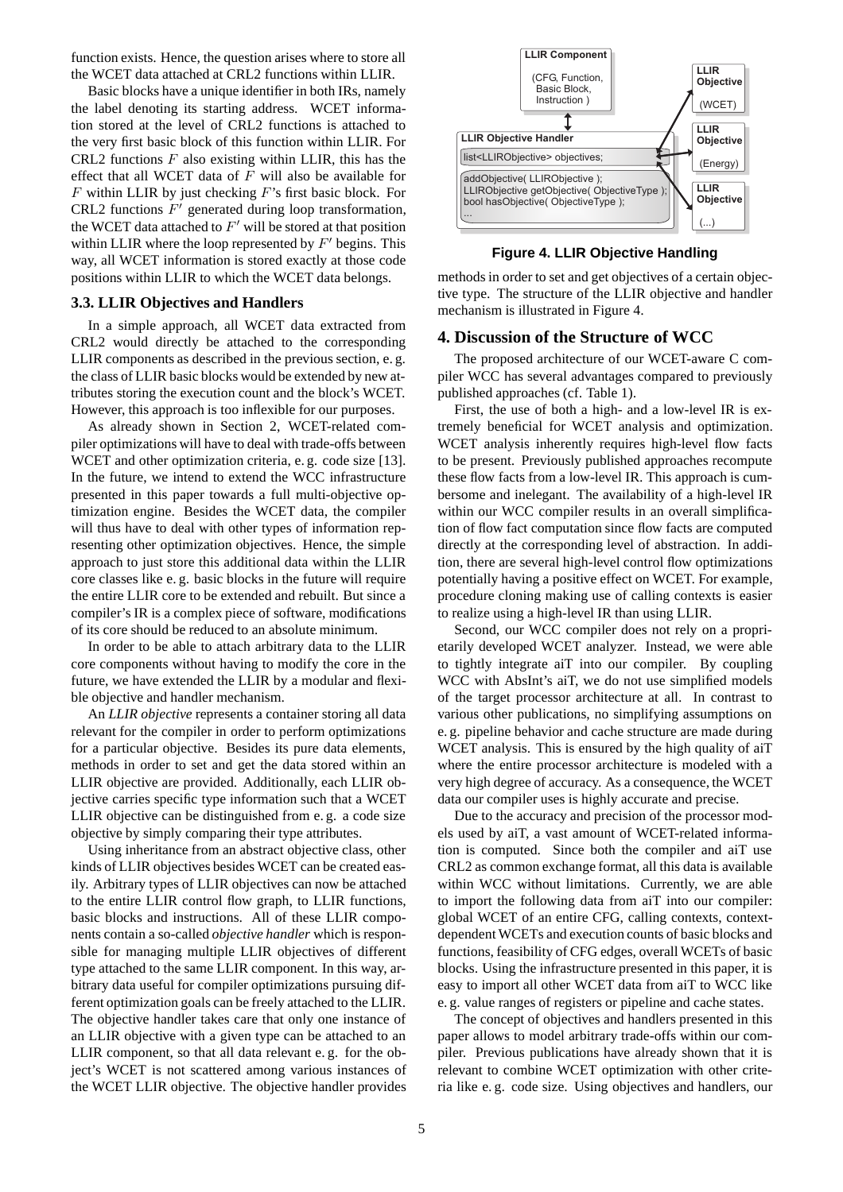function exists. Hence, the question arises where to store all the WCET data attached at CRL2 functions within LLIR.

Basic blocks have a unique identifier in both IRs, namely the label denoting its starting address. WCET information stored at the level of CRL2 functions is attached to the very first basic block of this function within LLIR. For CRL2 functions  $F$  also existing within LLIR, this has the effect that all WCET data of  $F$  will also be available for  $F$  within LLIR by just checking  $F$ 's first basic block. For CRL2 functions  $F'$  generated during loop transformation, the WCET data attached to  $F'$  will be stored at that position within LLIR where the loop represented by  $F'$  begins. This way, all WCET information is stored exactly at those code positions within LLIR to which the WCET data belongs.

## **3.3. LLIR Objectives and Handlers**

In a simple approach, all WCET data extracted from CRL2 would directly be attached to the corresponding LLIR components as described in the previous section, e. g. the class of LLIR basic blocks would be extended by new attributes storing the execution count and the block's WCET. However, this approach is too inflexible for our purposes.

As already shown in Section 2, WCET-related compiler optimizations will have to deal with trade-offs between WCET and other optimization criteria, e. g. code size [13]. In the future, we intend to extend the WCC infrastructure presented in this paper towards a full multi-objective optimization engine. Besides the WCET data, the compiler will thus have to deal with other types of information representing other optimization objectives. Hence, the simple approach to just store this additional data within the LLIR core classes like e. g. basic blocks in the future will require the entire LLIR core to be extended and rebuilt. But since a compiler's IR is a complex piece of software, modifications of its core should be reduced to an absolute minimum.

In order to be able to attach arbitrary data to the LLIR core components without having to modify the core in the future, we have extended the LLIR by a modular and flexible objective and handler mechanism.

An *LLIR objective* represents a container storing all data relevant for the compiler in order to perform optimizations for a particular objective. Besides its pure data elements, methods in order to set and get the data stored within an LLIR objective are provided. Additionally, each LLIR objective carries specific type information such that a WCET LLIR objective can be distinguished from e. g. a code size objective by simply comparing their type attributes.

Using inheritance from an abstract objective class, other kinds of LLIR objectives besides WCET can be created easily. Arbitrary types of LLIR objectives can now be attached to the entire LLIR control flow graph, to LLIR functions, basic blocks and instructions. All of these LLIR components contain a so-called *objective handler* which is responsible for managing multiple LLIR objectives of different type attached to the same LLIR component. In this way, arbitrary data useful for compiler optimizations pursuing different optimization goals can be freely attached to the LLIR. The objective handler takes care that only one instance of an LLIR objective with a given type can be attached to an LLIR component, so that all data relevant e. g. for the object's WCET is not scattered among various instances of the WCET LLIR objective. The objective handler provides



**Figure 4. LLIR Objective Handling**

methods in order to set and get objectives of a certain objective type. The structure of the LLIR objective and handler mechanism is illustrated in Figure 4.

#### **4. Discussion of the Structure of WCC**

The proposed architecture of our WCET-aware C compiler WCC has several advantages compared to previously published approaches (cf. Table 1).

First, the use of both a high- and a low-level IR is extremely beneficial for WCET analysis and optimization. WCET analysis inherently requires high-level flow facts to be present. Previously published approaches recompute these flow facts from a low-level IR. This approach is cumbersome and inelegant. The availability of a high-level IR within our WCC compiler results in an overall simplification of flow fact computation since flow facts are computed directly at the corresponding level of abstraction. In addition, there are several high-level control flow optimizations potentially having a positive effect on WCET. For example, procedure cloning making use of calling contexts is easier to realize using a high-level IR than using LLIR.

Second, our WCC compiler does not rely on a proprietarily developed WCET analyzer. Instead, we were able to tightly integrate aiT into our compiler. By coupling WCC with AbsInt's aiT, we do not use simplified models of the target processor architecture at all. In contrast to various other publications, no simplifying assumptions on e. g. pipeline behavior and cache structure are made during WCET analysis. This is ensured by the high quality of aiT where the entire processor architecture is modeled with a very high degree of accuracy. As a consequence, the WCET data our compiler uses is highly accurate and precise.

Due to the accuracy and precision of the processor models used by aiT, a vast amount of WCET-related information is computed. Since both the compiler and aiT use CRL2 as common exchange format, all this data is available within WCC without limitations. Currently, we are able to import the following data from aiT into our compiler: global WCET of an entire CFG, calling contexts, contextdependent WCETs and execution counts of basic blocks and functions, feasibility of CFG edges, overall WCETs of basic blocks. Using the infrastructure presented in this paper, it is easy to import all other WCET data from aiT to WCC like e. g. value ranges of registers or pipeline and cache states.

The concept of objectives and handlers presented in this paper allows to model arbitrary trade-offs within our compiler. Previous publications have already shown that it is relevant to combine WCET optimization with other criteria like e. g. code size. Using objectives and handlers, our